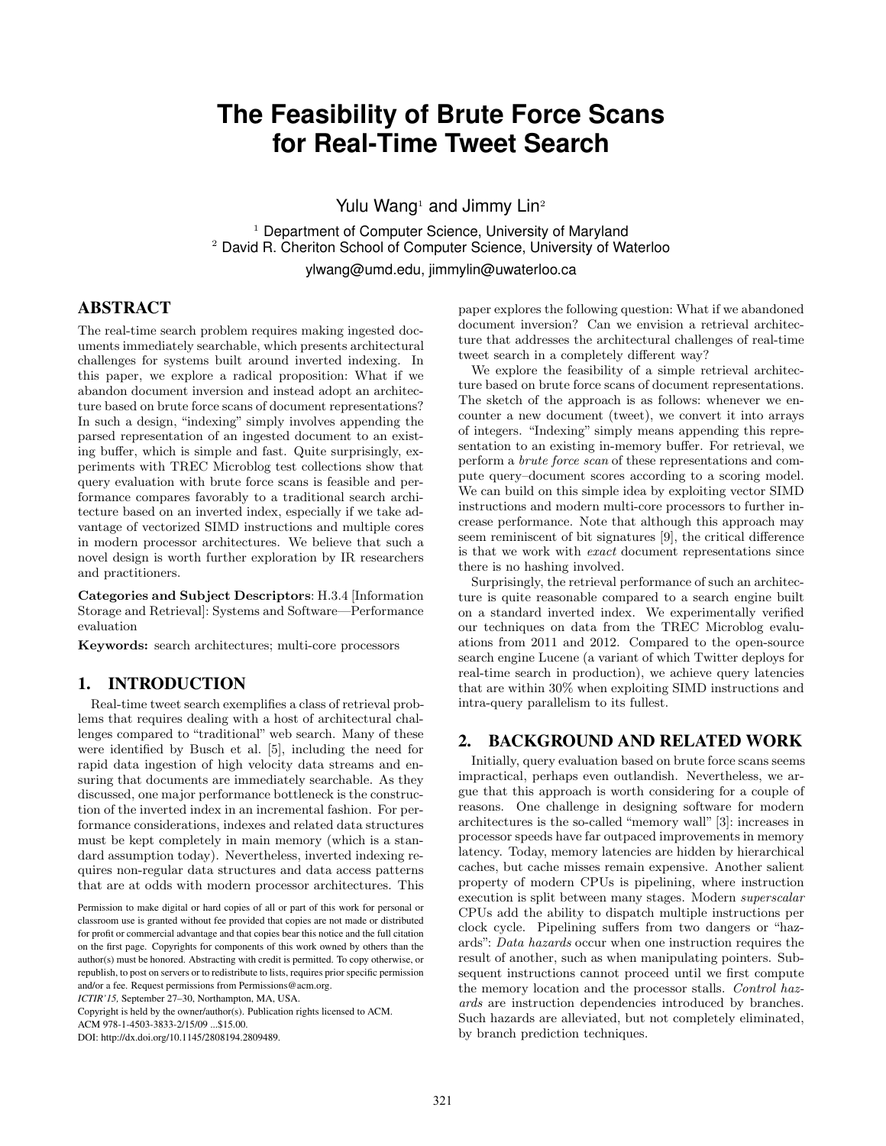# **The Feasibility of Brute Force Scans for Real-Time Tweet Search**

Yulu Wang<sup>1</sup> and Jimmy Lin<sup>2</sup>

<sup>1</sup> Department of Computer Science, University of Maryland <sup>2</sup> David R. Cheriton School of Computer Science, University of Waterloo

ylwang@umd.edu, jimmylin@uwaterloo.ca

# ABSTRACT

The real-time search problem requires making ingested documents immediately searchable, which presents architectural challenges for systems built around inverted indexing. In this paper, we explore a radical proposition: What if we abandon document inversion and instead adopt an architecture based on brute force scans of document representations? In such a design, "indexing" simply involves appending the parsed representation of an ingested document to an existing buffer, which is simple and fast. Quite surprisingly, experiments with TREC Microblog test collections show that query evaluation with brute force scans is feasible and performance compares favorably to a traditional search architecture based on an inverted index, especially if we take advantage of vectorized SIMD instructions and multiple cores in modern processor architectures. We believe that such a novel design is worth further exploration by IR researchers and practitioners.

Categories and Subject Descriptors: H.3.4 [Information Storage and Retrieval]: Systems and Software—Performance evaluation

Keywords: search architectures; multi-core processors

## 1. INTRODUCTION

Real-time tweet search exemplifies a class of retrieval problems that requires dealing with a host of architectural challenges compared to "traditional" web search. Many of these were identified by Busch et al. [5], including the need for rapid data ingestion of high velocity data streams and ensuring that documents are immediately searchable. As they discussed, one major performance bottleneck is the construction of the inverted index in an incremental fashion. For performance considerations, indexes and related data structures must be kept completely in main memory (which is a standard assumption today). Nevertheless, inverted indexing requires non-regular data structures and data access patterns that are at odds with modern processor architectures. This paper explores the following question: What if we abandoned document inversion? Can we envision a retrieval architecture that addresses the architectural challenges of real-time tweet search in a completely different way?

We explore the feasibility of a simple retrieval architecture based on brute force scans of document representations. The sketch of the approach is as follows: whenever we encounter a new document (tweet), we convert it into arrays of integers. "Indexing" simply means appending this representation to an existing in-memory buffer. For retrieval, we perform a brute force scan of these representations and compute query–document scores according to a scoring model. We can build on this simple idea by exploiting vector SIMD instructions and modern multi-core processors to further increase performance. Note that although this approach may seem reminiscent of bit signatures [9], the critical difference is that we work with exact document representations since there is no hashing involved.

Surprisingly, the retrieval performance of such an architecture is quite reasonable compared to a search engine built on a standard inverted index. We experimentally verified our techniques on data from the TREC Microblog evaluations from 2011 and 2012. Compared to the open-source search engine Lucene (a variant of which Twitter deploys for real-time search in production), we achieve query latencies that are within 30% when exploiting SIMD instructions and intra-query parallelism to its fullest.

# 2. BACKGROUND AND RELATED WORK

Initially, query evaluation based on brute force scans seems impractical, perhaps even outlandish. Nevertheless, we argue that this approach is worth considering for a couple of reasons. One challenge in designing software for modern architectures is the so-called "memory wall" [3]: increases in processor speeds have far outpaced improvements in memory latency. Today, memory latencies are hidden by hierarchical caches, but cache misses remain expensive. Another salient property of modern CPUs is pipelining, where instruction execution is split between many stages. Modern superscalar CPUs add the ability to dispatch multiple instructions per clock cycle. Pipelining suffers from two dangers or "hazards": Data hazards occur when one instruction requires the result of another, such as when manipulating pointers. Subsequent instructions cannot proceed until we first compute the memory location and the processor stalls. Control hazards are instruction dependencies introduced by branches. Such hazards are alleviated, but not completely eliminated, by branch prediction techniques.

Permission to make digital or hard copies of all or part of this work for personal or classroom use is granted without fee provided that copies are not made or distributed for profit or commercial advantage and that copies bear this notice and the full citation on the first page. Copyrights for components of this work owned by others than the author(s) must be honored. Abstracting with credit is permitted. To copy otherwise, or republish, to post on servers or to redistribute to lists, requires prior specific permission and/or a fee. Request permissions from Permissions@acm.org.

*ICTIR'15,* September 27–30, Northampton, MA, USA.

Copyright is held by the owner/author(s). Publication rights licensed to ACM.

ACM 978-1-4503-3833-2/15/09 ...\$15.00.

DOI: http://dx.doi.org/10.1145/2808194.2809489.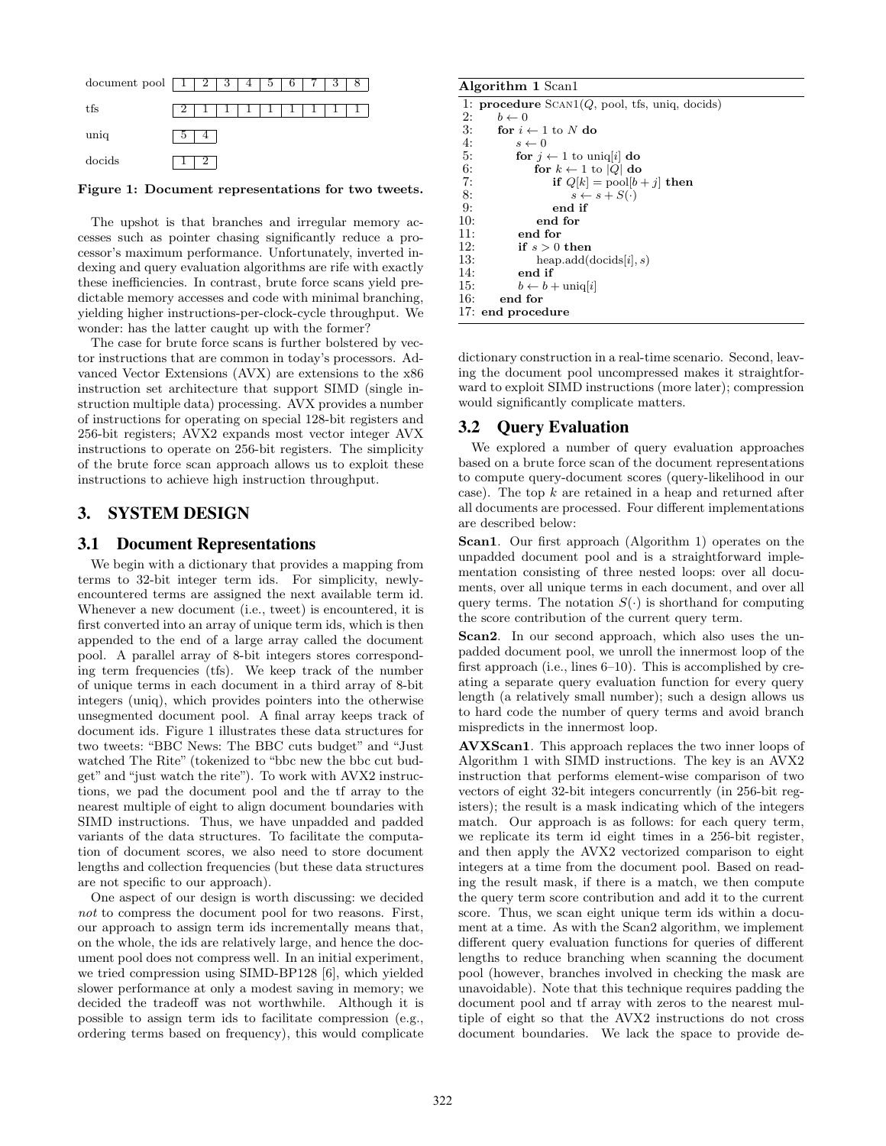

Figure 1: Document representations for two tweets.

The upshot is that branches and irregular memory accesses such as pointer chasing significantly reduce a processor's maximum performance. Unfortunately, inverted indexing and query evaluation algorithms are rife with exactly these inefficiencies. In contrast, brute force scans yield predictable memory accesses and code with minimal branching, yielding higher instructions-per-clock-cycle throughput. We wonder: has the latter caught up with the former?

The case for brute force scans is further bolstered by vector instructions that are common in today's processors. Advanced Vector Extensions (AVX) are extensions to the x86 instruction set architecture that support SIMD (single instruction multiple data) processing. AVX provides a number of instructions for operating on special 128-bit registers and 256-bit registers; AVX2 expands most vector integer AVX instructions to operate on 256-bit registers. The simplicity of the brute force scan approach allows us to exploit these instructions to achieve high instruction throughput.

## 3. SYSTEM DESIGN

#### 3.1 Document Representations

We begin with a dictionary that provides a mapping from terms to 32-bit integer term ids. For simplicity, newlyencountered terms are assigned the next available term id. Whenever a new document (i.e., tweet) is encountered, it is first converted into an array of unique term ids, which is then appended to the end of a large array called the document pool. A parallel array of 8-bit integers stores corresponding term frequencies (tfs). We keep track of the number of unique terms in each document in a third array of 8-bit integers (uniq), which provides pointers into the otherwise unsegmented document pool. A final array keeps track of document ids. Figure 1 illustrates these data structures for two tweets: "BBC News: The BBC cuts budget" and "Just watched The Rite" (tokenized to "bbc new the bbc cut budget" and "just watch the rite"). To work with AVX2 instructions, we pad the document pool and the tf array to the nearest multiple of eight to align document boundaries with SIMD instructions. Thus, we have unpadded and padded variants of the data structures. To facilitate the computation of document scores, we also need to store document lengths and collection frequencies (but these data structures are not specific to our approach).

One aspect of our design is worth discussing: we decided not to compress the document pool for two reasons. First, our approach to assign term ids incrementally means that, on the whole, the ids are relatively large, and hence the document pool does not compress well. In an initial experiment, we tried compression using SIMD-BP128 [6], which yielded slower performance at only a modest saving in memory; we decided the tradeoff was not worthwhile. Although it is possible to assign term ids to facilitate compression (e.g., ordering terms based on frequency), this would complicate

| <b>Algorithm 1 Scan1</b>                                |                                   |  |  |  |  |  |
|---------------------------------------------------------|-----------------------------------|--|--|--|--|--|
| 1: <b>procedure</b> $ScAN1(Q, pool, tfs, uniq, docids)$ |                                   |  |  |  |  |  |
| 2:                                                      | $b \leftarrow 0$                  |  |  |  |  |  |
| 3:                                                      | for $i \leftarrow 1$ to N do      |  |  |  |  |  |
| 4:                                                      | $s \leftarrow 0$                  |  |  |  |  |  |
| 5:                                                      | for $i \leftarrow 1$ to uniq i do |  |  |  |  |  |
| 6:                                                      | for $k \leftarrow 1$ to  Q  do    |  |  |  |  |  |
| 7:                                                      | if $Q[k] = pool[b + j]$ then      |  |  |  |  |  |
| 8:                                                      | $s \leftarrow s + S(\cdot)$       |  |  |  |  |  |
| 9:                                                      | end if                            |  |  |  |  |  |
| 10:                                                     | end for                           |  |  |  |  |  |
| 11:                                                     | end for                           |  |  |  |  |  |
| 12:                                                     | if $s > 0$ then                   |  |  |  |  |  |
| 13:                                                     | heap.add $(docids[i], s)$         |  |  |  |  |  |
| 14:                                                     | end if                            |  |  |  |  |  |
| 15:                                                     | $b \leftarrow b + \text{uniq} i $ |  |  |  |  |  |
| 16:                                                     | end for                           |  |  |  |  |  |
|                                                         | 17: end procedure                 |  |  |  |  |  |

dictionary construction in a real-time scenario. Second, leaving the document pool uncompressed makes it straightforward to exploit SIMD instructions (more later); compression would significantly complicate matters.

#### 3.2 Query Evaluation

We explored a number of query evaluation approaches based on a brute force scan of the document representations to compute query-document scores (query-likelihood in our case). The top  $k$  are retained in a heap and returned after all documents are processed. Four different implementations are described below:

Scan1. Our first approach (Algorithm 1) operates on the unpadded document pool and is a straightforward implementation consisting of three nested loops: over all documents, over all unique terms in each document, and over all query terms. The notation  $S(\cdot)$  is shorthand for computing the score contribution of the current query term.

Scan2. In our second approach, which also uses the unpadded document pool, we unroll the innermost loop of the first approach (i.e., lines 6–10). This is accomplished by creating a separate query evaluation function for every query length (a relatively small number); such a design allows us to hard code the number of query terms and avoid branch mispredicts in the innermost loop.

AVXScan1. This approach replaces the two inner loops of Algorithm 1 with SIMD instructions. The key is an AVX2 instruction that performs element-wise comparison of two vectors of eight 32-bit integers concurrently (in 256-bit registers); the result is a mask indicating which of the integers match. Our approach is as follows: for each query term, we replicate its term id eight times in a 256-bit register, and then apply the AVX2 vectorized comparison to eight integers at a time from the document pool. Based on reading the result mask, if there is a match, we then compute the query term score contribution and add it to the current score. Thus, we scan eight unique term ids within a document at a time. As with the Scan2 algorithm, we implement different query evaluation functions for queries of different lengths to reduce branching when scanning the document pool (however, branches involved in checking the mask are unavoidable). Note that this technique requires padding the document pool and tf array with zeros to the nearest multiple of eight so that the AVX2 instructions do not cross document boundaries. We lack the space to provide de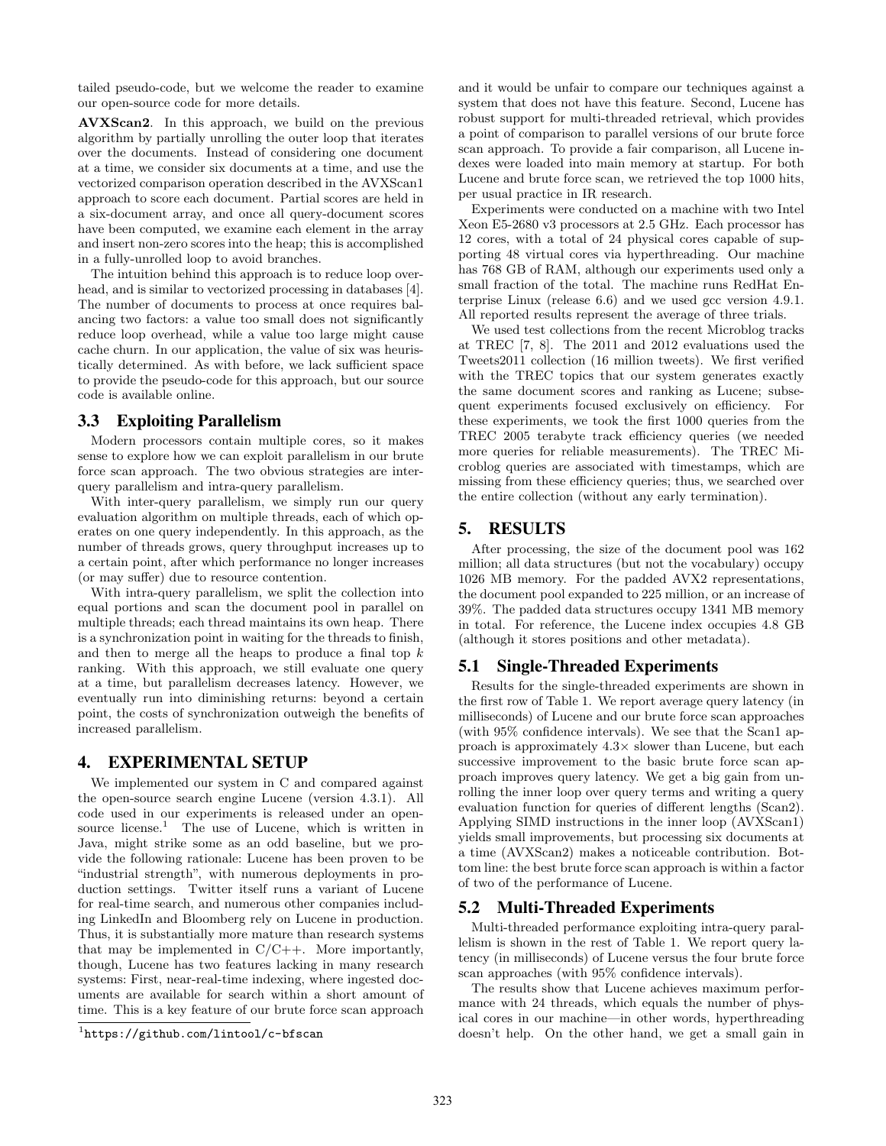tailed pseudo-code, but we welcome the reader to examine our open-source code for more details.

AVXScan2. In this approach, we build on the previous algorithm by partially unrolling the outer loop that iterates over the documents. Instead of considering one document at a time, we consider six documents at a time, and use the vectorized comparison operation described in the AVXScan1 approach to score each document. Partial scores are held in a six-document array, and once all query-document scores have been computed, we examine each element in the array and insert non-zero scores into the heap; this is accomplished in a fully-unrolled loop to avoid branches.

The intuition behind this approach is to reduce loop overhead, and is similar to vectorized processing in databases [4]. The number of documents to process at once requires balancing two factors: a value too small does not significantly reduce loop overhead, while a value too large might cause cache churn. In our application, the value of six was heuristically determined. As with before, we lack sufficient space to provide the pseudo-code for this approach, but our source code is available online.

#### 3.3 Exploiting Parallelism

Modern processors contain multiple cores, so it makes sense to explore how we can exploit parallelism in our brute force scan approach. The two obvious strategies are interquery parallelism and intra-query parallelism.

With inter-query parallelism, we simply run our query evaluation algorithm on multiple threads, each of which operates on one query independently. In this approach, as the number of threads grows, query throughput increases up to a certain point, after which performance no longer increases (or may suffer) due to resource contention.

With intra-query parallelism, we split the collection into equal portions and scan the document pool in parallel on multiple threads; each thread maintains its own heap. There is a synchronization point in waiting for the threads to finish, and then to merge all the heaps to produce a final top  $k$ ranking. With this approach, we still evaluate one query at a time, but parallelism decreases latency. However, we eventually run into diminishing returns: beyond a certain point, the costs of synchronization outweigh the benefits of increased parallelism.

#### 4. EXPERIMENTAL SETUP

We implemented our system in C and compared against the open-source search engine Lucene (version 4.3.1). All code used in our experiments is released under an opensource license.<sup>1</sup> The use of Lucene, which is written in Java, might strike some as an odd baseline, but we provide the following rationale: Lucene has been proven to be "industrial strength", with numerous deployments in production settings. Twitter itself runs a variant of Lucene for real-time search, and numerous other companies including LinkedIn and Bloomberg rely on Lucene in production. Thus, it is substantially more mature than research systems that may be implemented in  $C/C++$ . More importantly, though, Lucene has two features lacking in many research systems: First, near-real-time indexing, where ingested documents are available for search within a short amount of time. This is a key feature of our brute force scan approach

and it would be unfair to compare our techniques against a system that does not have this feature. Second, Lucene has robust support for multi-threaded retrieval, which provides a point of comparison to parallel versions of our brute force scan approach. To provide a fair comparison, all Lucene indexes were loaded into main memory at startup. For both Lucene and brute force scan, we retrieved the top 1000 hits, per usual practice in IR research.

Experiments were conducted on a machine with two Intel Xeon E5-2680 v3 processors at 2.5 GHz. Each processor has 12 cores, with a total of 24 physical cores capable of supporting 48 virtual cores via hyperthreading. Our machine has 768 GB of RAM, although our experiments used only a small fraction of the total. The machine runs RedHat Enterprise Linux (release 6.6) and we used gcc version 4.9.1. All reported results represent the average of three trials.

We used test collections from the recent Microblog tracks at TREC [7, 8]. The 2011 and 2012 evaluations used the Tweets2011 collection (16 million tweets). We first verified with the TREC topics that our system generates exactly the same document scores and ranking as Lucene; subsequent experiments focused exclusively on efficiency. For these experiments, we took the first 1000 queries from the TREC 2005 terabyte track efficiency queries (we needed more queries for reliable measurements). The TREC Microblog queries are associated with timestamps, which are missing from these efficiency queries; thus, we searched over the entire collection (without any early termination).

#### 5. RESULTS

After processing, the size of the document pool was 162 million; all data structures (but not the vocabulary) occupy 1026 MB memory. For the padded AVX2 representations, the document pool expanded to 225 million, or an increase of 39%. The padded data structures occupy 1341 MB memory in total. For reference, the Lucene index occupies 4.8 GB (although it stores positions and other metadata).

#### 5.1 Single-Threaded Experiments

Results for the single-threaded experiments are shown in the first row of Table 1. We report average query latency (in milliseconds) of Lucene and our brute force scan approaches (with 95% confidence intervals). We see that the Scan1 approach is approximately  $4.3 \times$  slower than Lucene, but each successive improvement to the basic brute force scan approach improves query latency. We get a big gain from unrolling the inner loop over query terms and writing a query evaluation function for queries of different lengths (Scan2). Applying SIMD instructions in the inner loop (AVXScan1) yields small improvements, but processing six documents at a time (AVXScan2) makes a noticeable contribution. Bottom line: the best brute force scan approach is within a factor of two of the performance of Lucene.

#### 5.2 Multi-Threaded Experiments

Multi-threaded performance exploiting intra-query parallelism is shown in the rest of Table 1. We report query latency (in milliseconds) of Lucene versus the four brute force scan approaches (with 95% confidence intervals).

The results show that Lucene achieves maximum performance with 24 threads, which equals the number of physical cores in our machine—in other words, hyperthreading doesn't help. On the other hand, we get a small gain in

<sup>1</sup> https://github.com/lintool/c-bfscan